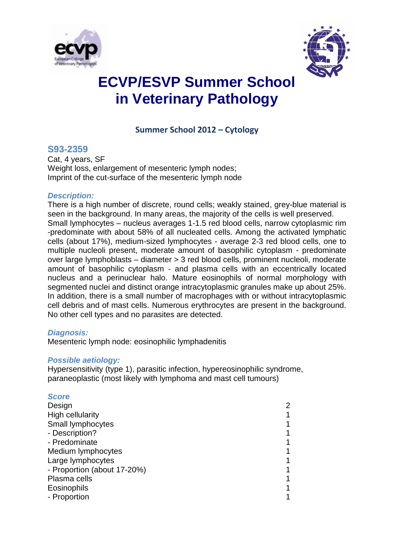



# **ECVP/ESVP Summer School in Veterinary Pathology**

### **Summer School 2012 – Cytology**

### **S93-2359**

Cat, 4 years, SF Weight loss, enlargement of mesenteric lymph nodes; Imprint of the cut-surface of the mesenteric lymph node

#### *Description:*

There is a high number of discrete, round cells; weakly stained, grey-blue material is seen in the background. In many areas, the majority of the cells is well preserved. Small lymphocytes – nucleus averages 1-1.5 red blood cells, narrow cytoplasmic rim -predominate with about 58% of all nucleated cells. Among the activated lymphatic cells (about 17%), medium-sized lymphocytes - average 2-3 red blood cells, one to multiple nucleoli present, moderate amount of basophilic cytoplasm - predominate over large lymphoblasts – diameter > 3 red blood cells, prominent nucleoli, moderate amount of basophilic cytoplasm - and plasma cells with an eccentrically located nucleus and a perinuclear halo. Mature eosinophils of normal morphology with segmented nuclei and distinct orange intracytoplasmic granules make up about 25%. In addition, there is a small number of macrophages with or without intracytoplasmic cell debris and of mast cells. Numerous erythrocytes are present in the background. No other cell types and no parasites are detected.

#### *Diagnosis:*

Mesenteric lymph node: eosinophilic lymphadenitis

#### *Possible aetiology:*

Hypersensitivity (type 1), parasitic infection, hypereosinophilic syndrome, paraneoplastic (most likely with lymphoma and mast cell tumours)

#### *Score*

| Design                      | 2 |
|-----------------------------|---|
| <b>High cellularity</b>     |   |
| Small lymphocytes           |   |
| - Description?              |   |
| - Predominate               |   |
| Medium lymphocytes          |   |
| Large lymphocytes           |   |
| - Proportion (about 17-20%) |   |
| Plasma cells                |   |
| Eosinophils                 |   |
| - Proportion                |   |